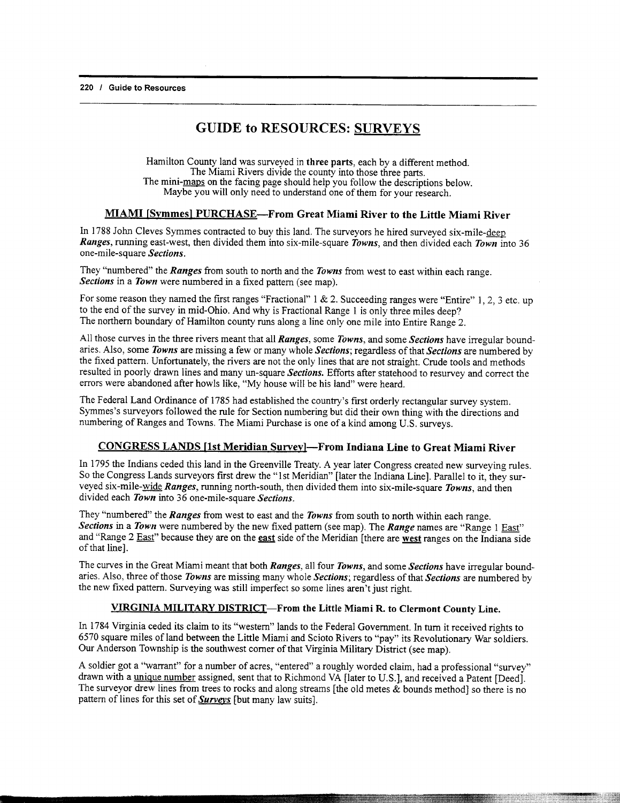### GUIDE to RESOURCES: SURVEYS

Hamilton County land was surveyed in three parts, each by a different method. The Miami Rivers divide the county into those three parts. The mini-maps on the facing page should help you follow the descriptions below. Maybe you will only need to understand one of them for your research.

### MIAMI [Symmesl PURCHASE-From Great Miami River to the Little Miami River

In 1788 John Cleves Symmes contracted to buy this land. The surveyors he hired surveyed six-mile-deep Ranges, running east-west, then divided them into six-mile-square Towns, and then divided each Town into 36 one-mile-square Sections.

They "numbered" the Ranges from south to north and the Towns from west to east within each range. Sections in a Town were numbered in a fixed pattern (see map).

For some reason they named the first ranges "Fractional"  $1 \& 2$ . Succeeding ranges were "Entire" 1, 2, 3 etc. up to the end of the survey in mid-Ohio. And why is Fractional Range I is only three miles deep? The northern boundary of Hamilton county runs along a line only one mile into Entire Range 2.

All those curves in the three rivers meant that all *Ranges*, some Towns, and some Sections have irregular boundaries. Also, some Towns are missing a few or many whole Sections; regardless of that Sections are numbered by the fixed pattern. Unfortunately, the rivers are not the only lines that are not straight. Crude tools and methods resulted in poorly drawn lines and many un-square Sections. Efforts after statehood to resurvey and correct the errors were abandoned after howls like, "My house will be his land" were heard.

The Federal Land Ordinance of 1785 had established the country's frst orderly rectangular survey system. Symmes's surveyors followed the rule for Section numbering but did their own thing with the directions and numbering of Ranges and Towns. The Miami Purchase is one of a kind among U.S. surveys.

#### CONGRESS LANDS [1st Meridian Survey]-From Indiana Line to Great Miami River

In 1795 the Indians ceded this land in the Greenville Treaty. A year later Congress created new surveying rules. So the Congress Lands surveyors first drew the "1st Meridian" [later the Indiana Line]. Parallel to it, they surveyed six-mile-wide Ranges, running north-south, then divided them into six-mile-square Towns, and then divided each Town into 36 one-mile-square Sections.

They "numbered" the Ranges from west to east and the Towns from south to north within each range. Sections in a Town were numbered by the new fixed pattern (see map). The Range names are "Range 1 East" and "Range 2 East" because they are on the east side of the Meridian [there are west ranges on the Indiana side of that linel.

The curves in the Great Miami meant that both Ranges, all four Towns, and some Sections have irregular boundaries. Also, three of those Towns are missing many whole Sections; regardless of that Sections are numbered by the new fixed pattern. Surveying was still imperfect so some lines aren't just right.

#### VIRGINIA MILITARY DISTRICT-From the Little Miami R. to Clermont County Line.

In 1784 Virginia ceded its claim to its "western" lands to the Federal Govemment. ln turn it received rights to 6570 square miles of land between the Little Miami and Scioto Rivers to "pay" its Revolutionary War soldiers. Our Anderson Township is the southwest corner of that Virginia Military District (see map).

A soldier got a "warrant" for a number of acres, "entered" a roughly worded claim, had a professional "survey" drawn with a unique number assigned, sent that to Richmond VA flater to U.S.], and received a Patent [Deed]. The surveyor drew lines from trees to rocks and along streams [the old metes  $\&$  bounds method] so there is no pattern of lines for this set of Surveys [but many law suits].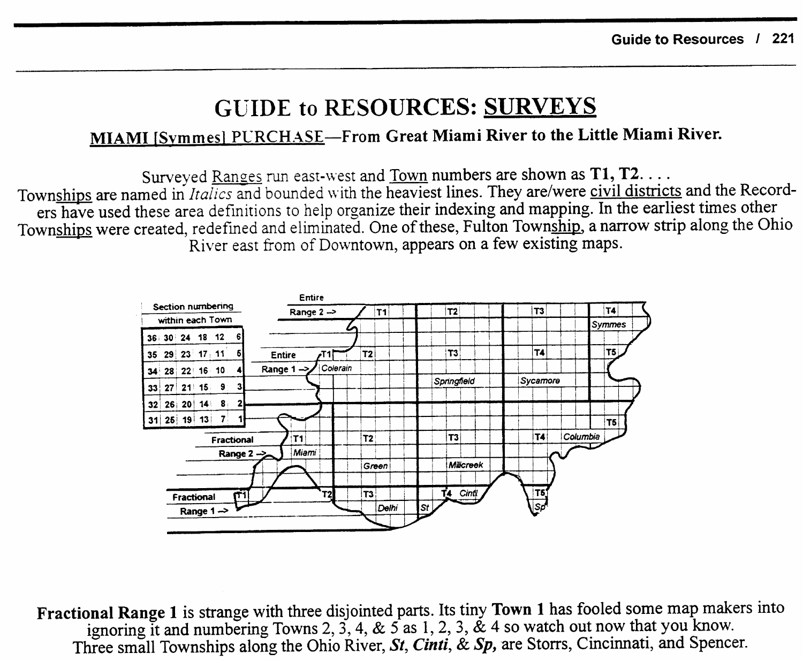## **GUIDE to RESOURCES: SURVEYS**

### MIAMI [Symmes] PURCHASE—From Great Miami River to the Little Miami River.

Surveyed Ranges run east-west and Town numbers are shown as T1, T2. . . . Townships are named in *Italics* and bounded with the heaviest lines. They are/were civil districts and the Recorders have used these area definitions to help organize their indexing and mapping. In the earliest times other Townships were created, redefined and eliminated. One of these, Fulton Township, a narrow strip along the Ohio River east from of Downtown, appears on a few existing maps.



Fractional Range 1 is strange with three disjointed parts. Its tiny Town 1 has fooled some map makers into ignoring it and numbering Towns 2, 3, 4, & 5 as 1, 2, 3, & 4 so watch out now that you know. Three small Townships along the Ohio River, St, Cinti, & Sp, are Storrs, Cincinnati, and Spencer.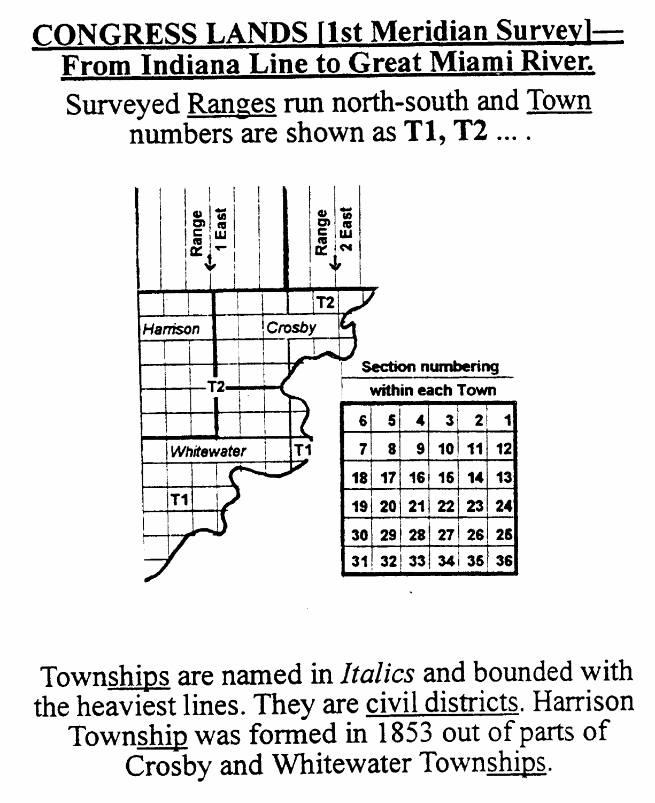# **CONGRESS LANDS [1st Meridian Survey].** From Indiana Line to Great Miami River.

Surveyed Ranges run north-south and Town numbers are shown as T1, T2 ....



Townships are named in Italics and bounded with the heaviest lines. They are civil districts. Harrison Township was formed in 1853 out of parts of Crosby and Whitewater Townships.